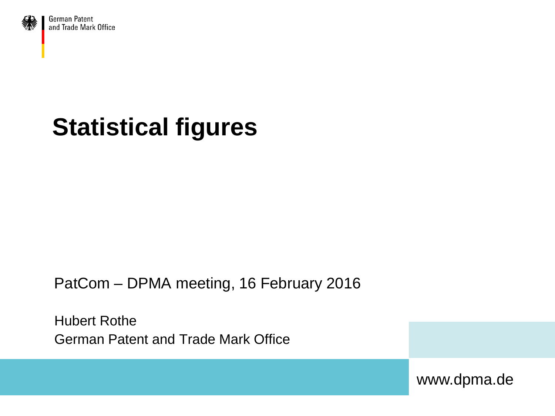

German Patent and Trade Mark Office

# **Statistical figures**

PatCom – DPMA meeting, 16 February 2016

Hubert Rothe German Patent and Trade Mark Office

www.dpma.de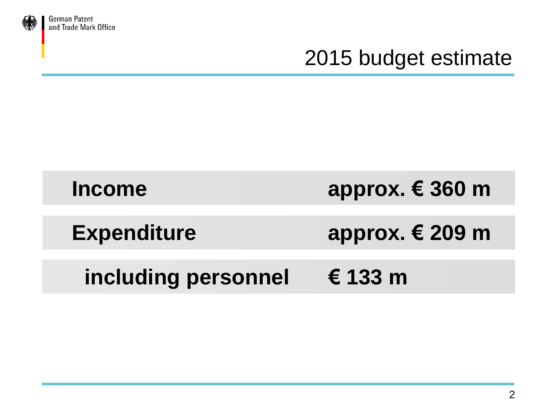

German Patent<br>and Trade Mark Office

#### 2015 budget estimate

| <b>Income</b>       | approx. $€ 360$ m |
|---------------------|-------------------|
| <b>Expenditure</b>  | approx. $€$ 209 m |
| including personnel | $\epsilon$ 133 m  |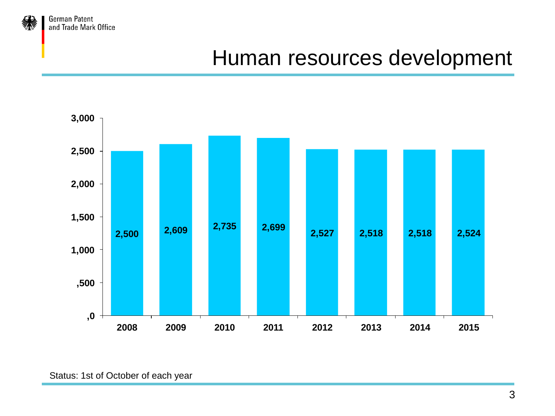

#### Human resources development

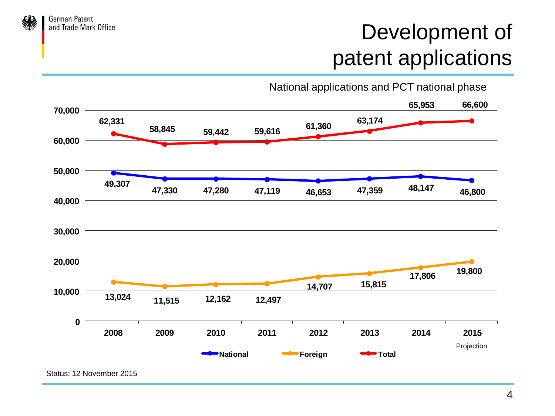

### Development of patent applications

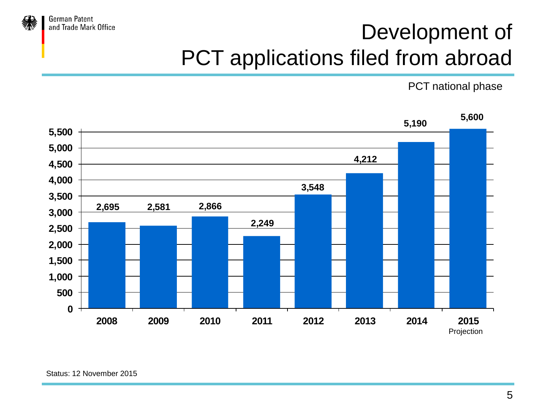

# Development of PCT applications filed from abroad

PCT national phase

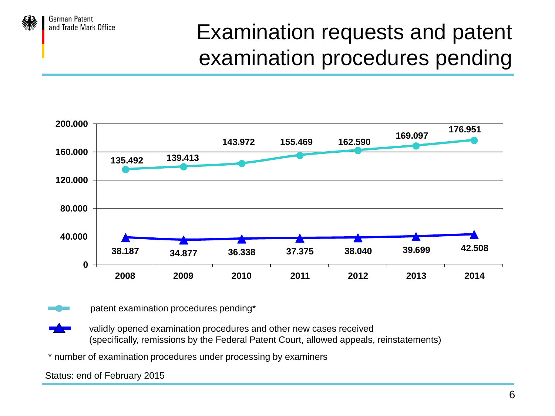

## Examination requests and patent examination procedures pending





patent examination procedures pending\*

- validly opened examination procedures and other new cases received (specifically, remissions by the Federal Patent Court, allowed appeals, reinstatements)
- \* number of examination procedures under processing by examiners

Status: end of February 2015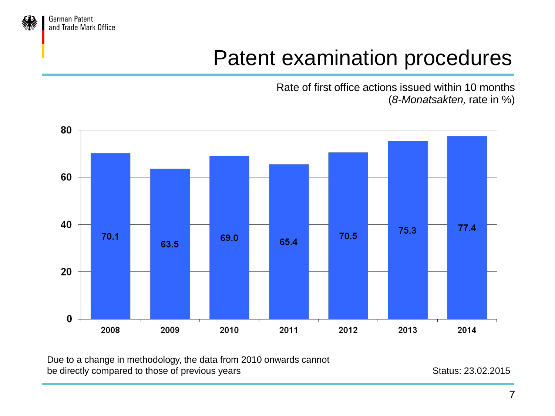

German Patent and Trade Mark Office

### Patent examination procedures

Rate of first office actions issued within 10 months (*8-Monatsakten,* rate in %)



Due to a change in methodology, the data from 2010 onwards cannot be directly compared to those of previous years Status: 23.02.2015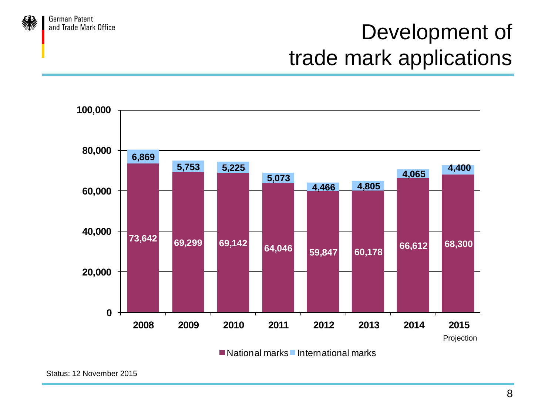### Development of trade mark applications





**German Patent** and Trade Mark Office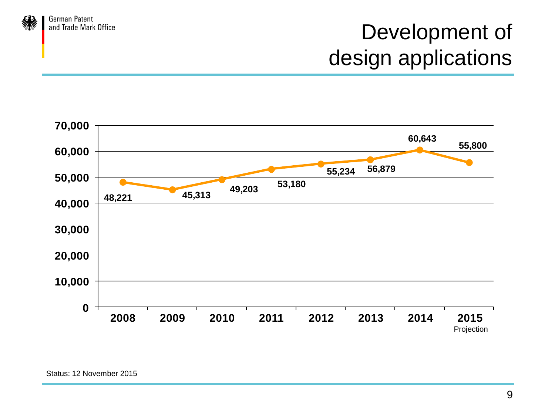



**German Patent** and Trade Mark Office